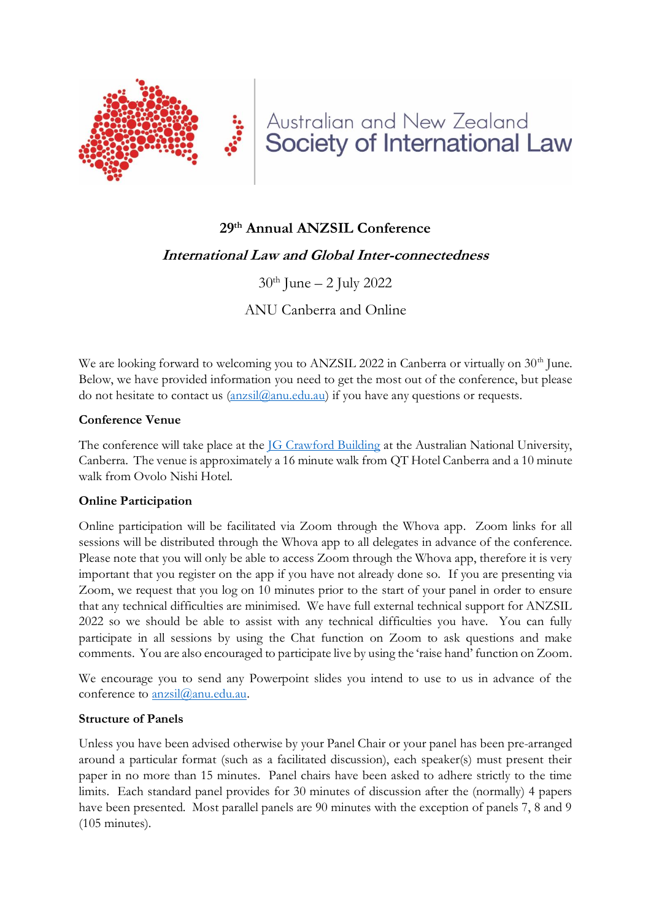

# Australian and New Zealand Society of International Law

# **29th Annual ANZSIL Conference**

# **International Law and Global Inter-connectedness**

 $30<sup>th</sup>$  June – 2 July 2022

ANU Canberra and Online

We are looking forward to welcoming you to ANZSIL 2022 in Canberra or virtually on  $30<sup>th</sup>$  June. Below, we have provided information you need to get the most out of the conference, but please do not hesitate to contact us  $(anssil@anu.edu.au)$  if you have any questions or requests.

#### **Conference Venue**

The conference will take place at the **JG Crawford Building** at the Australian National University, Canberra. The venue is approximately a 16 minute walk from QT Hotel Canberra and a 10 minute walk from Ovolo Nishi Hotel.

#### **Online Participation**

Online participation will be facilitated via Zoom through the Whova app. Zoom links for all sessions will be distributed through the Whova app to all delegates in advance of the conference. Please note that you will only be able to access Zoom through the Whova app, therefore it is very important that you register on the app if you have not already done so. If you are presenting via Zoom, we request that you log on 10 minutes prior to the start of your panel in order to ensure that any technical difficulties are minimised. We have full external technical support for ANZSIL 2022 so we should be able to assist with any technical difficulties you have. You can fully participate in all sessions by using the Chat function on Zoom to ask questions and make comments. You are also encouraged to participate live by using the 'raise hand' function on Zoom.

We encourage you to send any Powerpoint slides you intend to use to us in advance of the conference to [anzsil@anu.edu.au.](mailto:anzsil@anu.edu.au)

#### **Structure of Panels**

Unless you have been advised otherwise by your Panel Chair or your panel has been pre-arranged around a particular format (such as a facilitated discussion), each speaker(s) must present their paper in no more than 15 minutes. Panel chairs have been asked to adhere strictly to the time limits. Each standard panel provides for 30 minutes of discussion after the (normally) 4 papers have been presented. Most parallel panels are 90 minutes with the exception of panels 7, 8 and 9 (105 minutes).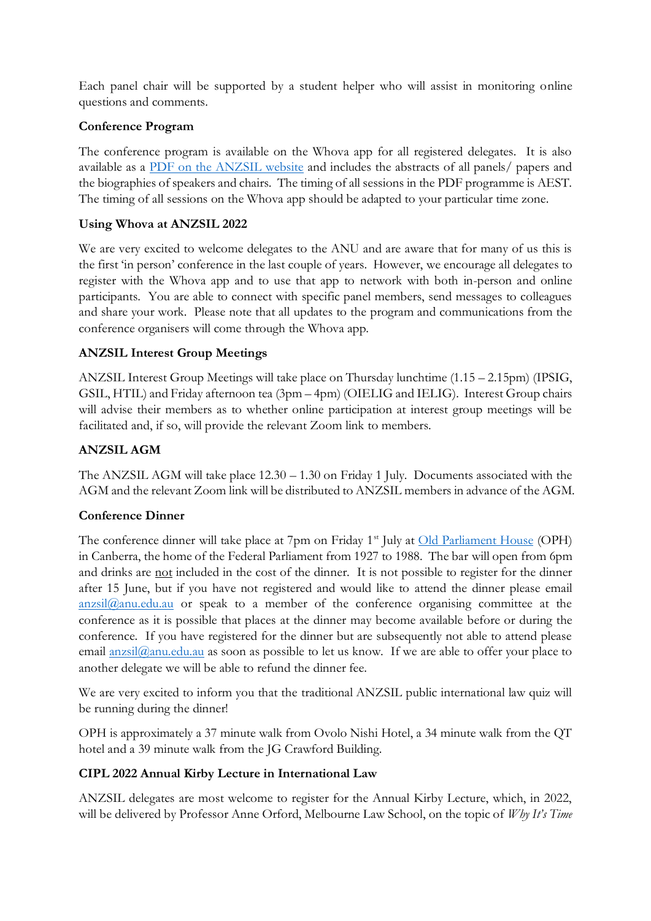Each panel chair will be supported by a student helper who will assist in monitoring online questions and comments.

# **Conference Program**

The conference program is available on the Whova app for all registered delegates. It is also available as a [PDF on the ANZSIL website](https://www.anzsil.org.au/resources/Conferences/2022%20Conference/2022%20ANZSIL%20Conference%20Program.pdf) and includes the abstracts of all panels/ papers and the biographies of speakers and chairs. The timing of all sessions in the PDF programme is AEST. The timing of all sessions on the Whova app should be adapted to your particular time zone.

# **Using Whova at ANZSIL 2022**

We are very excited to welcome delegates to the ANU and are aware that for many of us this is the first 'in person' conference in the last couple of years. However, we encourage all delegates to register with the Whova app and to use that app to network with both in-person and online participants. You are able to connect with specific panel members, send messages to colleagues and share your work. Please note that all updates to the program and communications from the conference organisers will come through the Whova app.

# **ANZSIL Interest Group Meetings**

ANZSIL Interest Group Meetings will take place on Thursday lunchtime (1.15 – 2.15pm) (IPSIG, GSIL, HTIL) and Friday afternoon tea (3pm – 4pm) (OIELIG and IELIG). Interest Group chairs will advise their members as to whether online participation at interest group meetings will be facilitated and, if so, will provide the relevant Zoom link to members.

# **ANZSIL AGM**

The ANZSIL AGM will take place 12.30 – 1.30 on Friday 1 July. Documents associated with the AGM and the relevant Zoom link will be distributed to ANZSIL members in advance of the AGM.

# **Conference Dinner**

The conference dinner will take place at 7pm on Friday 1<sup>st</sup> July at [Old Parliament House](https://functionsatoph.com.au/) (OPH) in Canberra, the home of the Federal Parliament from 1927 to 1988. The bar will open from 6pm and drinks are not included in the cost of the dinner. It is not possible to register for the dinner after 15 June, but if you have not registered and would like to attend the dinner please email  $anzsil(\partial_{\xi}$ anu.edu.au or speak to a member of the conference organising committee at the conference as it is possible that places at the dinner may become available before or during the conference. If you have registered for the dinner but are subsequently not able to attend please email [anzsil@anu.edu.au](mailto:anzsil@anu.edu.au) as soon as possible to let us know. If we are able to offer your place to another delegate we will be able to refund the dinner fee.

We are very excited to inform you that the traditional ANZSIL public international law quiz will be running during the dinner!

OPH is approximately a 37 minute walk from Ovolo Nishi Hotel, a 34 minute walk from the QT hotel and a 39 minute walk from the JG Crawford Building.

# **CIPL 2022 Annual Kirby Lecture in International Law**

ANZSIL delegates are most welcome to register for the Annual Kirby Lecture, which, in 2022, will be delivered by Professor Anne Orford, Melbourne Law School, on the topic of *Why It's Time*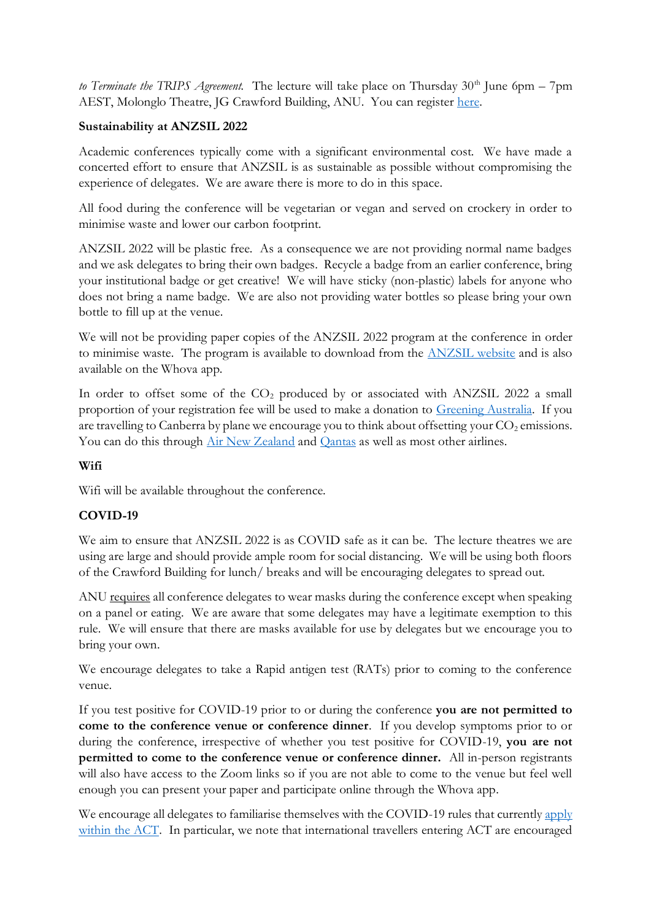*to Terminate the TRIPS Agreement.* The lecture will take place on Thursday  $30<sup>th</sup>$  June 6pm – 7pm AEST, Molonglo Theatre, JG Crawford Building, ANU. You can register [here.](https://www.eventbrite.com.au/e/2022-annual-kirby-lecture-in-international-law-tickets-336866766567?aff=erelexpmlt)

### **Sustainability at ANZSIL 2022**

Academic conferences typically come with a significant environmental cost. We have made a concerted effort to ensure that ANZSIL is as sustainable as possible without compromising the experience of delegates. We are aware there is more to do in this space.

All food during the conference will be vegetarian or vegan and served on crockery in order to minimise waste and lower our carbon footprint.

ANZSIL 2022 will be plastic free. As a consequence we are not providing normal name badges and we ask delegates to bring their own badges. Recycle a badge from an earlier conference, bring your institutional badge or get creative! We will have sticky (non-plastic) labels for anyone who does not bring a name badge. We are also not providing water bottles so please bring your own bottle to fill up at the venue.

We will not be providing paper copies of the ANZSIL 2022 program at the conference in order to minimise waste. The program is available to download from the [ANZSIL website](https://www.anzsil.org.au/resources/Conferences/2022%20Conference/2022%20ANZSIL%20Conference%20Program.pdf) and is also available on the Whova app.

In order to offset some of the  $CO<sub>2</sub>$  produced by or associated with ANZSIL 2022 a small proportion of your registration fee will be used to make a donation to [Greening Australia.](https://www.greeningaustralia.org.au/) If you are travelling to Canberra by plane we encourage you to think about offsetting your  $CO<sub>2</sub>$  emissions. You can do this through [Air New Zealand](https://www.airnewzealand.co.nz/sustainability-customer-carbon-offset) and [Qantas](https://www.qantas.com/gb/en/qantas-group/acting-responsibly/our-planet/carbon-offsetting.html) as well as most other airlines.

### **Wifi**

Wifi will be available throughout the conference.

# **COVID-19**

We aim to ensure that ANZSIL 2022 is as COVID safe as it can be. The lecture theatres we are using are large and should provide ample room for social distancing. We will be using both floors of the Crawford Building for lunch/ breaks and will be encouraging delegates to spread out.

ANU requires all conference delegates to wear masks during the conference except when speaking on a panel or eating. We are aware that some delegates may have a legitimate exemption to this rule. We will ensure that there are masks available for use by delegates but we encourage you to bring your own.

We encourage delegates to take a Rapid antigen test (RATs) prior to coming to the conference venue.

If you test positive for COVID-19 prior to or during the conference **you are not permitted to come to the conference venue or conference dinner**. If you develop symptoms prior to or during the conference, irrespective of whether you test positive for COVID-19, **you are not permitted to come to the conference venue or conference dinner.** All in-person registrants will also have access to the Zoom links so if you are not able to come to the venue but feel well enough you can present your paper and participate online through the Whova app.

We encourage all delegates to familiarise themselves with the COVID-19 rules that currently apply [within the ACT.](https://www.covid19.act.gov.au/restrictions/current-restrictions) In particular, we note that international travellers entering ACT are encouraged